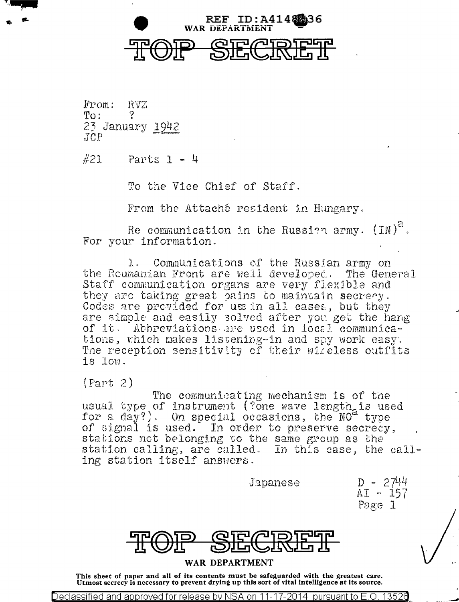

From: RVZ  $To:$ ? 23 January 1942  $JCP$ 

 $#21$ Parts  $1 - 4$ 

To the Vice Chief of Staff.

From the Attaché resident in Hungary.

Re communication in the Russian army.  $(IN)^2$ . For your information.

Communications of the Russian army on  $\mathbf{L}$ the Roumanian Front are well developed. The General Staff communication organs are very flexible and they are taking great pains to maintain secrecy. Codes are provided for use in all cases, but they are simple and easily solved after you get the hang of it. Abbreviations are used in local communications, which makes listening-in and spy work easy. The reception sensitivity of their wireless outfits is low.

 $(Part 2)$ 

The communicating mechanism is of the usual type of instrument (?one wave length is used for a day?). On special occasions, the  $NO<sup>2</sup>$  type of signal is used. In order to preserve secrecy, stations not belonging to the same group as the station calling, are called. In this case, the calling station itself answers.

Japanese

D - 2744  $AI - 157$ Page 1



## WAR DEPARTMENT

This sheet of paper and all of its contents must be safeguarded with the greatest care. Utmost secrecy is necessary to prevent drying up this sort of vital intelligence at its source.

Declassified and approved for release by NSA on 11-17-2014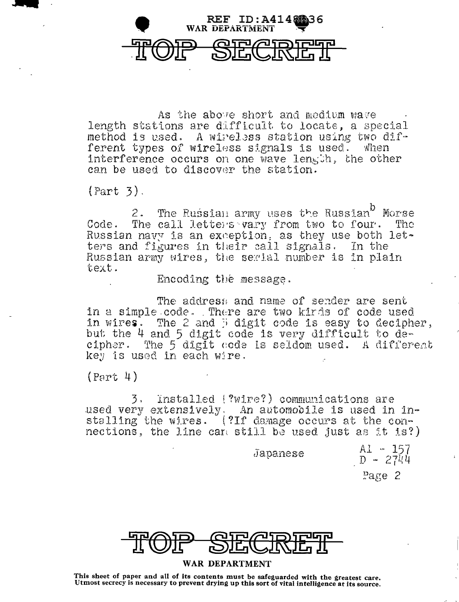

As the above short and medium wave length stations are difficult to locate, a special method is used. A wireless station using two different types of wireless signals is used.  $\n *when*\n$ interference occurs on one wave length, the other can be used to discover the station.

 $(Part 3).$ 

The Russian army uses the Russian<sup>b</sup> Morse  $2.$ The call letters vary from two to four. The  $Code.$ Russian navy is an exception, as they use both let-<br>ters and figures in their call signals. In the Russian army wires, the serial number is in plain text.

Encoding the message.

The address and name of sender are sent in a simple code. There are two kirds of code used in wires. The 2 and 3 digit code is easy to decipher, but the 4 and 5 digit code is very difficult to decipher. The 5 digit code is seldom used. A different key is used in each wire.

 $(Part 4)$ 

Installed (?wire?) communications are  $\mathcal{F}$ used very extensively. An automobile is used in installing the wires. (?If damage occurs at the connections, the line can still be used just as it is?)

Japanese

Al - 157  $D - 2744$ 

Page 2



## WAR DEPARTMENT

This sheet of paper and all of its contents must be safeguarded with the greatest care. Utmost secrecy is necessary to prevent drying up this sort of vital intelligence at its source.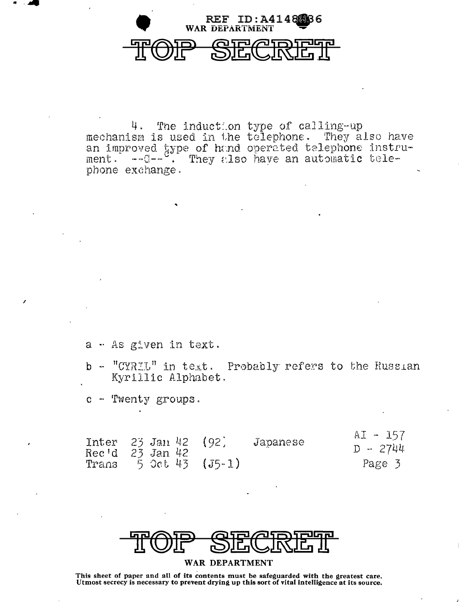

4. The induction type of calling-up mechanism is used in the telephone. They also have an improved type of hand operated telephone instru-<br>ment. ---C-- . They also have an automatic telephone exchange.

- a As given in text.
- b "CYRIL" in text. Probably refers to the Russian Kyrillic Alphabet.
- c Twenty groups.

| Inter 23 Jan 42 (92) |  |                                  | Japanese | A1 - 121<br>$D - 2744$ |
|----------------------|--|----------------------------------|----------|------------------------|
| Rec'd 23 Jan 42      |  | Trans $5 \text{ Oct } 43 (J5-1)$ |          | Page 3                 |



## WAR DEPARTMENT

This sheet of paper and all of its contents must be safeguarded with the greatest care. Utmost secrecy is necessary to prevent drying up this sort of vital intelligence at its source.